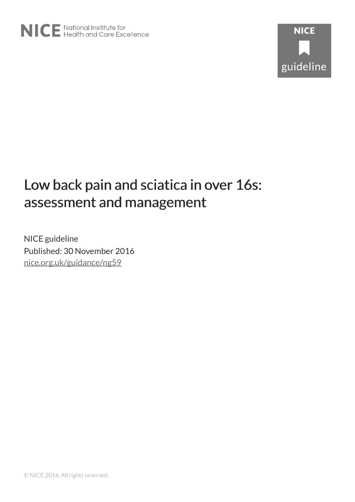# Low back pain and sciatica in over 16s: assessment and management

NICE guideline Published: 30 November 2016 [nice.org.uk/guidance/ng59](http://nice.org.uk/guidance/ng59)

© NICE 2016. All rights reserved.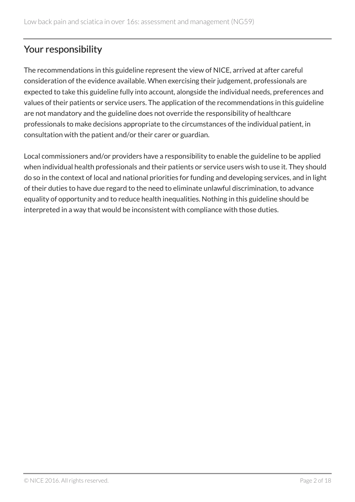# Your responsibility

The recommendations in this guideline represent the view of NICE, arrived at after careful consideration of the evidence available. When exercising their judgement, professionals are expected to take this guideline fully into account, alongside the individual needs, preferences and values of their patients or service users. The application of the recommendations in this guideline are not mandatory and the guideline does not override the responsibility of healthcare professionals to make decisions appropriate to the circumstances of the individual patient, in consultation with the patient and/or their carer or guardian.

Local commissioners and/or providers have a responsibility to enable the guideline to be applied when individual health professionals and their patients or service users wish to use it. They should do so in the context of local and national priorities for funding and developing services, and in light of their duties to have due regard to the need to eliminate unlawful discrimination, to advance equality of opportunity and to reduce health inequalities. Nothing in this guideline should be interpreted in a way that would be inconsistent with compliance with those duties.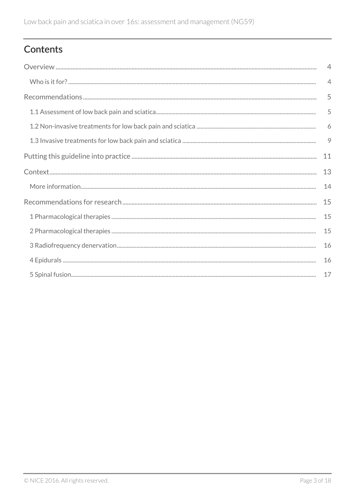# Contents

| $\overline{4}$ |
|----------------|
| $\overline{4}$ |
| 5              |
| 5              |
| 6              |
| 9              |
| 11             |
| 13             |
| 14             |
| 15             |
| 15             |
| 15             |
| 16             |
| 16             |
| 17             |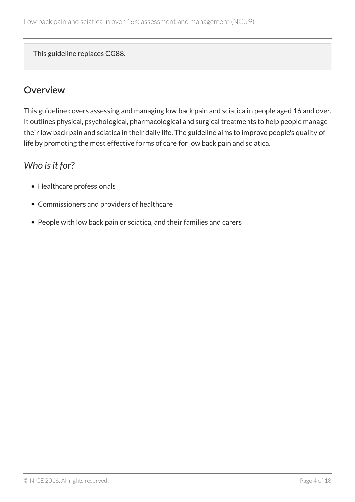This guideline replaces CG88.

# <span id="page-3-0"></span>**Overview**

This guideline covers assessing and managing low back pain and sciatica in people aged 16 and over. It outlines physical, psychological, pharmacological and surgical treatments to help people manage their low back pain and sciatica in their daily life. The guideline aims to improve people's quality of life by promoting the most effective forms of care for low back pain and sciatica.

# <span id="page-3-1"></span>*Who is it for?*

- Healthcare professionals
- Commissioners and providers of healthcare
- People with low back pain or sciatica, and their families and carers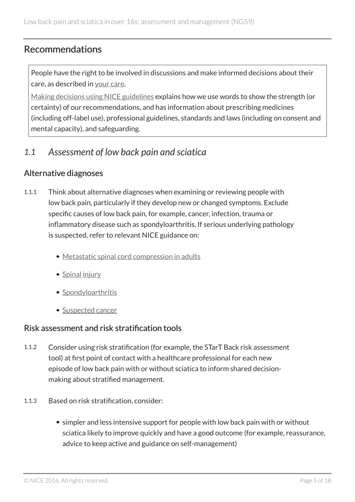### <span id="page-4-0"></span>Recommendations

People have the right to be involved in discussions and make informed decisions about their care, as described in [your care](https://www.nice.org.uk/about/nice-communities/public-involvement/your-care).

[Making decisions using NICE guidelines](http://www.nice.org.uk/about/what-we-do/our-programmes/nice-guidance/nice-guidelines/using-NICE-guidelines-to-make-decisions) explains how we use words to show the strength (or certainty) of our recommendations, and has information about prescribing medicines (including off-label use), professional guidelines, standards and laws (including on consent and mental capacity), and safeguarding.

### <span id="page-4-1"></span>*1.1 Assessment of low back pain and sciatica*

#### Alternative diagnoses

- 1.1.1 Think about alternative diagnoses when examining or reviewing people with low back pain, particularly if they develop new or changed symptoms. Exclude specific causes of low back pain, for example, cancer, infection, trauma or inflammatory disease such as spondyloarthritis. If serious underlying pathology is suspected, refer to relevant NICE guidance on:
	- [Metastatic spinal cord compression in adults](http://www.nice.org.uk/guidance/cg75)
	- [Spinal injury](http://www.nice.org.uk/guidance/ng41)
	- [Spondyloarthritis](https://www.nice.org.uk/guidance/indevelopment/gid-cgwave0688)
	- [Suspected cancer](http://www.nice.org.uk/guidance/ng12)

#### Risk assessment and risk stratification tools

- 1.1.2 Consider using risk stratification (for example, the STarT Back risk assessment tool) at first point of contact with a healthcare professional for each new episode of low back pain with or without sciatica to inform shared decisionmaking about stratified management.
- 1.1.3 Based on risk stratification, consider:
	- simpler and less intensive support for people with low back pain with or without sciatica likely to improve quickly and have a good outcome (for example, reassurance, advice to keep active and guidance on self-management)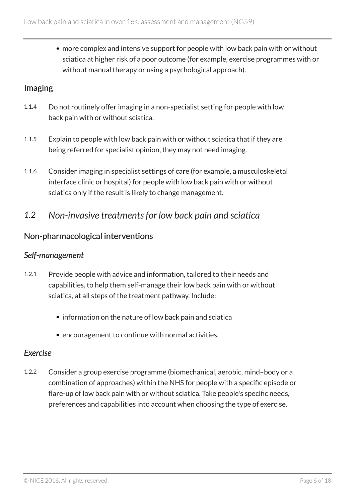more complex and intensive support for people with low back pain with or without sciatica at higher risk of a poor outcome (for example, exercise programmes with or without manual therapy or using a psychological approach).

### Imaging

- 1.1.4 Do not routinely offer imaging in a non-specialist setting for people with low back pain with or without sciatica.
- 1.1.5 Explain to people with low back pain with or without sciatica that if they are being referred for specialist opinion, they may not need imaging.
- 1.1.6 Consider imaging in specialist settings of care (for example, a musculoskeletal interface clinic or hospital) for people with low back pain with or without sciatica only if the result is likely to change management.
- <span id="page-5-0"></span>*1.2 Non-invasive treatments for low back pain and sciatica*

### Non-pharmacological interventions

#### *Self-management*

- 1.2.1 Provide people with advice and information, tailored to their needs and capabilities, to help them self-manage their low back pain with or without sciatica, at all steps of the treatment pathway. Include:
	- information on the nature of low back pain and sciatica
	- encouragement to continue with normal activities.

#### *Exercise*

1.2.2 Consider a group exercise programme (biomechanical, aerobic, mind–body or a combination of approaches) within the NHS for people with a specific episode or flare-up of low back pain with or without sciatica. Take people's specific needs, preferences and capabilities into account when choosing the type of exercise.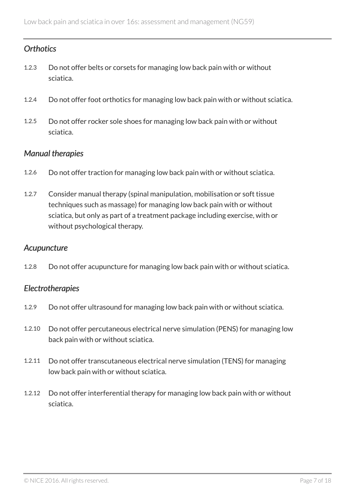### *Orthotics*

- 1.2.3 Do not offer belts or corsets for managing low back pain with or without sciatica.
- 1.2.4 Do not offer foot orthotics for managing low back pain with or without sciatica.
- 1.2.5 Do not offer rocker sole shoes for managing low back pain with or without sciatica.

#### *Manual therapies*

- 1.2.6 Do not offer traction for managing low back pain with or without sciatica.
- 1.2.7 Consider manual therapy (spinal manipulation, mobilisation or soft tissue techniques such as massage) for managing low back pain with or without sciatica, but only as part of a treatment package including exercise, with or without psychological therapy.

#### *Acupuncture*

1.2.8 Do not offer acupuncture for managing low back pain with or without sciatica.

#### *Electrotherapies*

- 1.2.9 Do not offer ultrasound for managing low back pain with or without sciatica.
- 1.2.10 Do not offer percutaneous electrical nerve simulation (PENS) for managing low back pain with or without sciatica.
- 1.2.11 Do not offer transcutaneous electrical nerve simulation (TENS) for managing low back pain with or without sciatica.
- 1.2.12 Do not offer interferential therapy for managing low back pain with or without sciatica.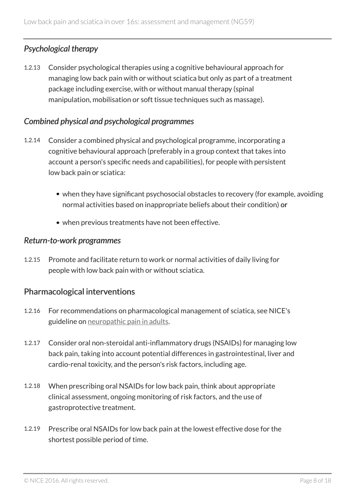### *Psychological therapy*

1.2.13 Consider psychological therapies using a cognitive behavioural approach for managing low back pain with or without sciatica but only as part of a treatment package including exercise, with or without manual therapy (spinal manipulation, mobilisation or soft tissue techniques such as massage).

#### *Combined physical and psychological programmes*

- 1.2.14 Consider a combined physical and psychological programme, incorporating a cognitive behavioural approach (preferably in a group context that takes into account a person's specific needs and capabilities), for people with persistent low back pain or sciatica:
	- when they have significant psychosocial obstacles to recovery (for example, avoiding normal activities based on inappropriate beliefs about their condition) or
	- when previous treatments have not been effective.

#### *Return-to-work programmes*

1.2.15 Promote and facilitate return to work or normal activities of daily living for people with low back pain with or without sciatica.

#### Pharmacological interventions

- 1.2.16 For recommendations on pharmacological management of sciatica, see NICE's guideline on [neuropathic pain in adults](http://www.nice.org.uk/guidance/cg173).
- 1.2.17 Consider oral non-steroidal anti-inflammatory drugs (NSAIDs) for managing low back pain, taking into account potential differences in gastrointestinal, liver and cardio-renal toxicity, and the person's risk factors, including age.
- 1.2.18 When prescribing oral NSAIDs for low back pain, think about appropriate clinical assessment, ongoing monitoring of risk factors, and the use of gastroprotective treatment.
- 1.2.19 Prescribe oral NSAIDs for low back pain at the lowest effective dose for the shortest possible period of time.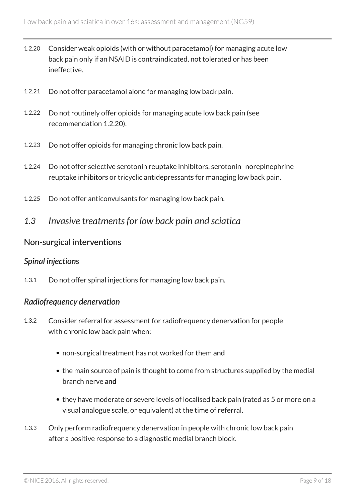- 1.2.20 Consider weak opioids (with or without paracetamol) for managing acute low back pain only if an NSAID is contraindicated, not tolerated or has been ineffective.
- 1.2.21 Do not offer paracetamol alone for managing low back pain.
- 1.2.22 Do not routinely offer opioids for managing acute low back pain (see recommendation 1.2.20).
- 1.2.23 Do not offer opioids for managing chronic low back pain.
- 1.2.24 Do not offer selective serotonin reuptake inhibitors, serotonin–norepinephrine reuptake inhibitors or tricyclic antidepressants for managing low back pain.
- 1.2.25 Do not offer anticonvulsants for managing low back pain.
- <span id="page-8-0"></span>*1.3 Invasive treatments for low back pain and sciatica*

#### Non-surgical interventions

#### *Spinal injections*

1.3.1 Do not offer spinal injections for managing low back pain.

#### *Radiofrequency denervation*

- 1.3.2 Consider referral for assessment for radiofrequency denervation for people with chronic low back pain when:
	- non-surgical treatment has not worked for them and
	- the main source of pain is thought to come from structures supplied by the medial branch nerve and
	- they have moderate or severe levels of localised back pain (rated as 5 or more on a visual analogue scale, or equivalent) at the time of referral.
- 1.3.3 Only perform radiofrequency denervation in people with chronic low back pain after a positive response to a diagnostic medial branch block.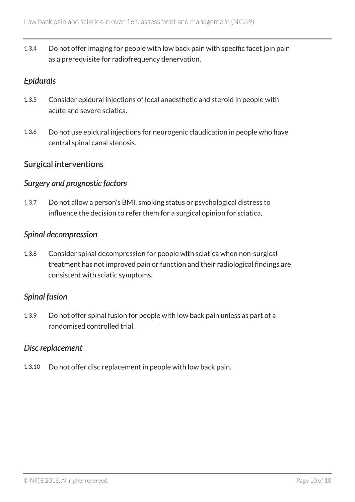1.3.4 Do not offer imaging for people with low back pain with specific facet join pain as a prerequisite for radiofrequency denervation.

#### *Epidurals*

- 1.3.5 Consider epidural injections of local anaesthetic and steroid in people with acute and severe sciatica.
- 1.3.6 Do not use epidural injections for neurogenic claudication in people who have central spinal canal stenosis.

#### Surgical interventions

#### *Surgery and prognostic factors*

1.3.7 Do not allow a person's BMI, smoking status or psychological distress to influence the decision to refer them for a surgical opinion for sciatica.

#### *Spinal decompression*

1.3.8 Consider spinal decompression for people with sciatica when non-surgical treatment has not improved pain or function and their radiological findings are consistent with sciatic symptoms.

#### *Spinal fusion*

1.3.9 Do not offer spinal fusion for people with low back pain unless as part of a randomised controlled trial.

#### *Disc replacement*

1.3.10 Do not offer disc replacement in people with low back pain.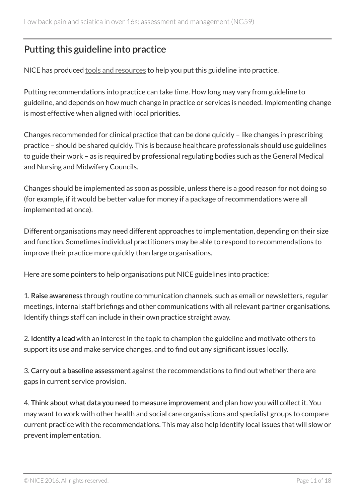# <span id="page-10-0"></span>Putting this guideline into practice

NICE has produced [tools and resources](http://www.nice.org.uk/guidance/ng59/resources) to help you put this guideline into practice.

Putting recommendations into practice can take time. How long may vary from guideline to guideline, and depends on how much change in practice or services is needed. Implementing change is most effective when aligned with local priorities.

Changes recommended for clinical practice that can be done quickly – like changes in prescribing practice – should be shared quickly. This is because healthcare professionals should use guidelines to guide their work – as is required by professional regulating bodies such as the General Medical and Nursing and Midwifery Councils.

Changes should be implemented as soon as possible, unless there is a good reason for not doing so (for example, if it would be better value for money if a package of recommendations were all implemented at once).

Different organisations may need different approaches to implementation, depending on their size and function. Sometimes individual practitioners may be able to respond to recommendations to improve their practice more quickly than large organisations.

Here are some pointers to help organisations put NICE guidelines into practice:

1. Raise awareness through routine communication channels, such as email or newsletters, regular meetings, internal staff briefings and other communications with all relevant partner organisations. Identify things staff can include in their own practice straight away.

2. Identify a lead with an interest in the topic to champion the guideline and motivate others to support its use and make service changes, and to find out any significant issues locally.

3. Carry out a baseline assessment against the recommendations to find out whether there are gaps in current service provision.

4. Think about what data you need to measure improvement and plan how you will collect it. You may want to work with other health and social care organisations and specialist groups to compare current practice with the recommendations. This may also help identify local issues that will slow or prevent implementation.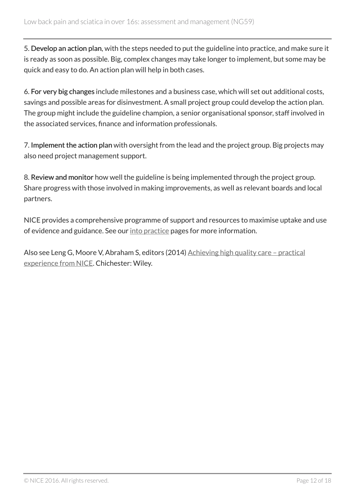5. Develop an action plan, with the steps needed to put the guideline into practice, and make sure it is ready as soon as possible. Big, complex changes may take longer to implement, but some may be quick and easy to do. An action plan will help in both cases.

6. For very big changes include milestones and a business case, which will set out additional costs, savings and possible areas for disinvestment. A small project group could develop the action plan. The group might include the guideline champion, a senior organisational sponsor, staff involved in the associated services, finance and information professionals.

7. Implement the action plan with oversight from the lead and the project group. Big projects may also need project management support.

8. Review and monitor how well the guideline is being implemented through the project group. Share progress with those involved in making improvements, as well as relevant boards and local partners.

NICE provides a comprehensive programme of support and resources to maximise uptake and use of evidence and guidance. See our [into practice](https://www.nice.org.uk/about/what-we-do/into-practice) pages for more information.

Also see Leng G, Moore V, Abraham S, editors (2014) [Achieving high quality care – practical](http://onlinelibrary.wiley.com/doi/10.1002/9781118543412.ch2/summary) [experience from NICE.](http://onlinelibrary.wiley.com/doi/10.1002/9781118543412.ch2/summary) Chichester: Wiley.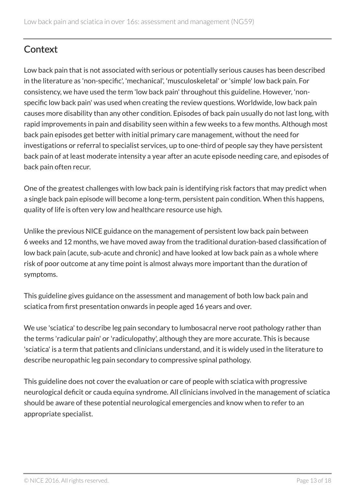# <span id="page-12-0"></span>**Context**

Low back pain that is not associated with serious or potentially serious causes has been described in the literature as 'non-specific', 'mechanical', 'musculoskeletal' or 'simple' low back pain. For consistency, we have used the term 'low back pain' throughout this guideline. However, 'nonspecific low back pain' was used when creating the review questions. Worldwide, low back pain causes more disability than any other condition. Episodes of back pain usually do not last long, with rapid improvements in pain and disability seen within a few weeks to a few months. Although most back pain episodes get better with initial primary care management, without the need for investigations or referral to specialist services, up to one-third of people say they have persistent back pain of at least moderate intensity a year after an acute episode needing care, and episodes of back pain often recur.

One of the greatest challenges with low back pain is identifying risk factors that may predict when a single back pain episode will become a long-term, persistent pain condition. When this happens, quality of life is often very low and healthcare resource use high.

Unlike the previous NICE guidance on the management of persistent low back pain between 6 weeks and 12 months, we have moved away from the traditional duration-based classification of low back pain (acute, sub-acute and chronic) and have looked at low back pain as a whole where risk of poor outcome at any time point is almost always more important than the duration of symptoms.

This guideline gives guidance on the assessment and management of both low back pain and sciatica from first presentation onwards in people aged 16 years and over.

We use 'sciatica' to describe leg pain secondary to lumbosacral nerve root pathology rather than the terms 'radicular pain' or 'radiculopathy', although they are more accurate. This is because 'sciatica' is a term that patients and clinicians understand, and it is widely used in the literature to describe neuropathic leg pain secondary to compressive spinal pathology.

This guideline does not cover the evaluation or care of people with sciatica with progressive neurological deficit or cauda equina syndrome. All clinicians involved in the management of sciatica should be aware of these potential neurological emergencies and know when to refer to an appropriate specialist.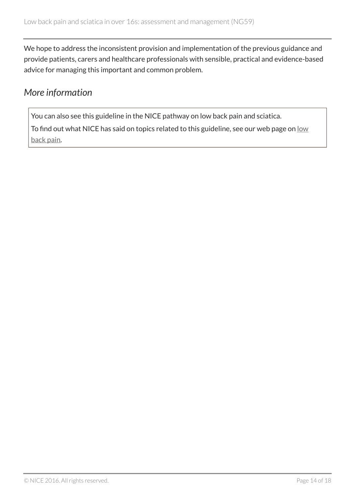We hope to address the inconsistent provision and implementation of the previous guidance and provide patients, carers and healthcare professionals with sensible, practical and evidence-based advice for managing this important and common problem.

### <span id="page-13-0"></span>*More information*

You can also see this guideline in the NICE pathway on low back pain and sciatica.

To find out what NICE has said on topics related to this guideline, see our web page on [low](https://www.nice.org.uk/guidance/conditions-and-diseases/musculoskeletal-conditions/low-back-pain) [back pain](https://www.nice.org.uk/guidance/conditions-and-diseases/musculoskeletal-conditions/low-back-pain).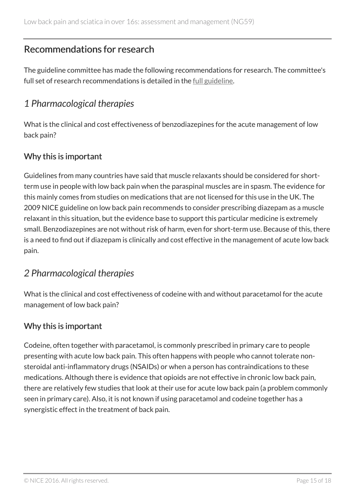## <span id="page-14-0"></span>Recommendations for research

The guideline committee has made the following recommendations for research. The committee's full set of research recommendations is detailed in the <u>[full guideline](http://www.nice.org.uk/Guidance/NG59/Evidence)</u>.

# <span id="page-14-1"></span>*1 Pharmacological therapies*

What is the clinical and cost effectiveness of benzodiazepines for the acute management of low back pain?

### Why this is important

Guidelines from many countries have said that muscle relaxants should be considered for shortterm use in people with low back pain when the paraspinal muscles are in spasm. The evidence for this mainly comes from studies on medications that are not licensed for this use in the UK. The 2009 NICE guideline on low back pain recommends to consider prescribing diazepam as a muscle relaxant in this situation, but the evidence base to support this particular medicine is extremely small. Benzodiazepines are not without risk of harm, even for short-term use. Because of this, there is a need to find out if diazepam is clinically and cost effective in the management of acute low back pain.

# <span id="page-14-2"></span>*2 Pharmacological therapies*

What is the clinical and cost effectiveness of codeine with and without paracetamol for the acute management of low back pain?

### Why this is important

Codeine, often together with paracetamol, is commonly prescribed in primary care to people presenting with acute low back pain. This often happens with people who cannot tolerate nonsteroidal anti-inflammatory drugs (NSAIDs) or when a person has contraindications to these medications. Although there is evidence that opioids are not effective in chronic low back pain, there are relatively few studies that look at their use for acute low back pain (a problem commonly seen in primary care). Also, it is not known if using paracetamol and codeine together has a synergistic effect in the treatment of back pain.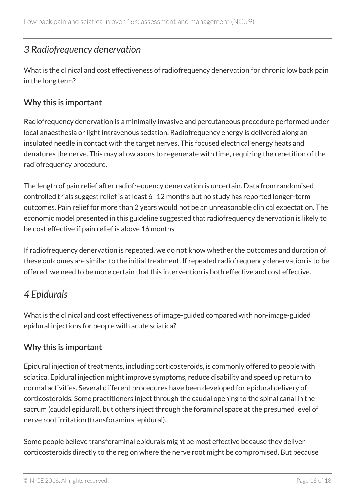### <span id="page-15-0"></span>*3 Radiofrequency denervation*

What is the clinical and cost effectiveness of radiofrequency denervation for chronic low back pain in the long term?

### Why this is important

Radiofrequency denervation is a minimally invasive and percutaneous procedure performed under local anaesthesia or light intravenous sedation. Radiofrequency energy is delivered along an insulated needle in contact with the target nerves. This focused electrical energy heats and denatures the nerve. This may allow axons to regenerate with time, requiring the repetition of the radiofrequency procedure.

The length of pain relief after radiofrequency denervation is uncertain. Data from randomised controlled trials suggest relief is at least 6–12 months but no study has reported longer-term outcomes. Pain relief for more than 2 years would not be an unreasonable clinical expectation. The economic model presented in this guideline suggested that radiofrequency denervation is likely to be cost effective if pain relief is above 16 months.

If radiofrequency denervation is repeated, we do not know whether the outcomes and duration of these outcomes are similar to the initial treatment. If repeated radiofrequency denervation is to be offered, we need to be more certain that this intervention is both effective and cost effective.

# <span id="page-15-1"></span>*4 Epidurals*

What is the clinical and cost effectiveness of image-guided compared with non-image-guided epidural injections for people with acute sciatica?

### Why this is important

Epidural injection of treatments, including corticosteroids, is commonly offered to people with sciatica. Epidural injection might improve symptoms, reduce disability and speed up return to normal activities. Several different procedures have been developed for epidural delivery of corticosteroids. Some practitioners inject through the caudal opening to the spinal canal in the sacrum (caudal epidural), but others inject through the foraminal space at the presumed level of nerve root irritation (transforaminal epidural).

Some people believe transforaminal epidurals might be most effective because they deliver corticosteroids directly to the region where the nerve root might be compromised. But because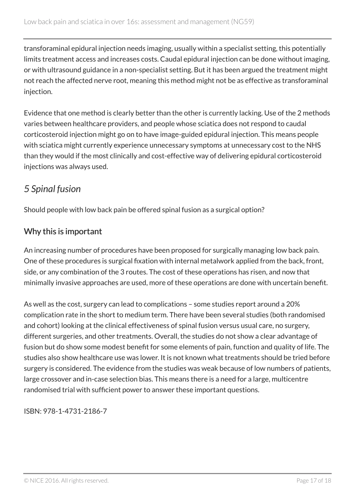transforaminal epidural injection needs imaging, usually within a specialist setting, this potentially limits treatment access and increases costs. Caudal epidural injection can be done without imaging, or with ultrasound guidance in a non-specialist setting. But it has been argued the treatment might not reach the affected nerve root, meaning this method might not be as effective as transforaminal injection.

Evidence that one method is clearly better than the other is currently lacking. Use of the 2 methods varies between healthcare providers, and people whose sciatica does not respond to caudal corticosteroid injection might go on to have image-guided epidural injection. This means people with sciatica might currently experience unnecessary symptoms at unnecessary cost to the NHS than they would if the most clinically and cost-effective way of delivering epidural corticosteroid injections was always used.

# <span id="page-16-0"></span>*5 Spinal fusion*

Should people with low back pain be offered spinal fusion as a surgical option?

### Why this is important

An increasing number of procedures have been proposed for surgically managing low back pain. One of these procedures is surgical fixation with internal metalwork applied from the back, front, side, or any combination of the 3 routes. The cost of these operations has risen, and now that minimally invasive approaches are used, more of these operations are done with uncertain benefit.

As well as the cost, surgery can lead to complications – some studies report around a 20% complication rate in the short to medium term. There have been several studies (both randomised and cohort) looking at the clinical effectiveness of spinal fusion versus usual care, no surgery, different surgeries, and other treatments. Overall, the studies do not show a clear advantage of fusion but do show some modest benefit for some elements of pain, function and quality of life. The studies also show healthcare use was lower. It is not known what treatments should be tried before surgery is considered. The evidence from the studies was weak because of low numbers of patients, large crossover and in-case selection bias. This means there is a need for a large, multicentre randomised trial with sufficient power to answer these important questions.

ISBN: 978-1-4731-2186-7